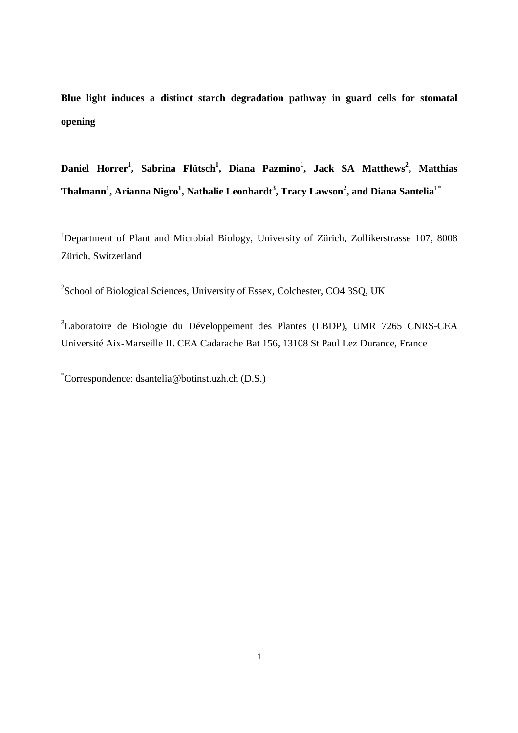**Blue light induces a distinct starch degradation pathway in guard cells for stomatal opening** 

**Daniel Horrer<sup>1</sup> , Sabrina Flütsch<sup>1</sup> , Diana Pazmino<sup>1</sup> , Jack SA Matthews<sup>2</sup> , Matthias Thalmann<sup>1</sup> , Arianna Nigro<sup>1</sup> , Nathalie Leonhardt<sup>3</sup> , Tracy Lawson<sup>2</sup> , and Diana Santelia**1\*

<sup>1</sup>Department of Plant and Microbial Biology, University of Zürich, Zollikerstrasse 107, 8008 Zürich, Switzerland

<sup>2</sup>School of Biological Sciences, University of Essex, Colchester, CO4 3SQ, UK

<sup>3</sup>Laboratoire de Biologie du Développement des Plantes (LBDP), UMR 7265 CNRS-CEA Université Aix-Marseille II. CEA Cadarache Bat 156, 13108 St Paul Lez Durance, France

\*Correspondence: dsantelia@botinst.uzh.ch (D.S.)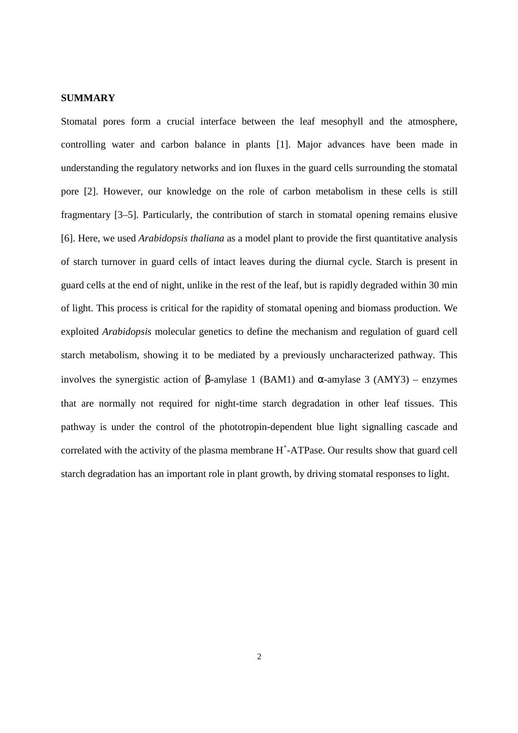### **SUMMARY**

Stomatal pores form a crucial interface between the leaf mesophyll and the atmosphere, controlling water and carbon balance in plants [1]. Major advances have been made in understanding the regulatory networks and ion fluxes in the guard cells surrounding the stomatal pore [2]. However, our knowledge on the role of carbon metabolism in these cells is still fragmentary [3–5]. Particularly, the contribution of starch in stomatal opening remains elusive [6]. Here, we used *Arabidopsis thaliana* as a model plant to provide the first quantitative analysis of starch turnover in guard cells of intact leaves during the diurnal cycle. Starch is present in guard cells at the end of night, unlike in the rest of the leaf, but is rapidly degraded within 30 min of light. This process is critical for the rapidity of stomatal opening and biomass production. We exploited *Arabidopsis* molecular genetics to define the mechanism and regulation of guard cell starch metabolism, showing it to be mediated by a previously uncharacterized pathway. This involves the synergistic action of β-amylase 1 (BAM1) and α-amylase 3 (AMY3) – enzymes that are normally not required for night-time starch degradation in other leaf tissues. This pathway is under the control of the phototropin-dependent blue light signalling cascade and correlated with the activity of the plasma membrane  $H^+$ -ATPase. Our results show that guard cell starch degradation has an important role in plant growth, by driving stomatal responses to light.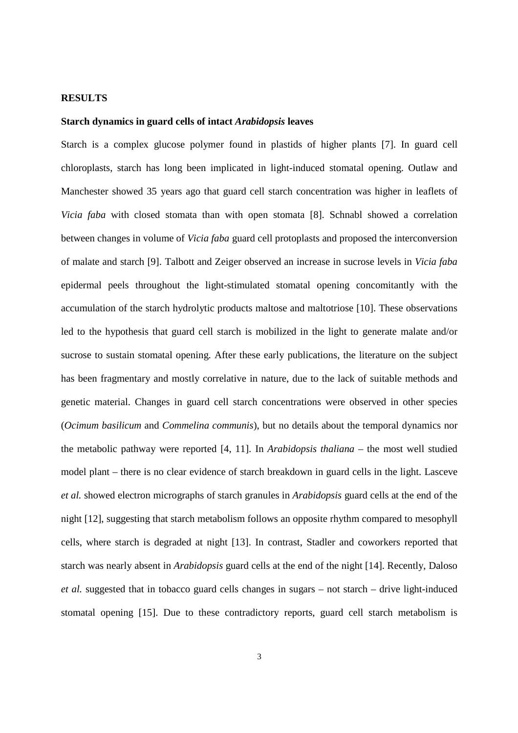### **RESULTS**

### **Starch dynamics in guard cells of intact** *Arabidopsis* **leaves**

Starch is a complex glucose polymer found in plastids of higher plants [7]. In guard cell chloroplasts, starch has long been implicated in light-induced stomatal opening. Outlaw and Manchester showed 35 years ago that guard cell starch concentration was higher in leaflets of *Vicia faba* with closed stomata than with open stomata [8]. Schnabl showed a correlation between changes in volume of *Vicia faba* guard cell protoplasts and proposed the interconversion of malate and starch [9]. Talbott and Zeiger observed an increase in sucrose levels in *Vicia faba* epidermal peels throughout the light-stimulated stomatal opening concomitantly with the accumulation of the starch hydrolytic products maltose and maltotriose [10]. These observations led to the hypothesis that guard cell starch is mobilized in the light to generate malate and/or sucrose to sustain stomatal opening. After these early publications, the literature on the subject has been fragmentary and mostly correlative in nature, due to the lack of suitable methods and genetic material. Changes in guard cell starch concentrations were observed in other species (*Ocimum basilicum* and *Commelina communis*), but no details about the temporal dynamics nor the metabolic pathway were reported [4, 11]. In *Arabidopsis thaliana* – the most well studied model plant – there is no clear evidence of starch breakdown in guard cells in the light. Lasceve *et al.* showed electron micrographs of starch granules in *Arabidopsis* guard cells at the end of the night [12], suggesting that starch metabolism follows an opposite rhythm compared to mesophyll cells, where starch is degraded at night [13]. In contrast, Stadler and coworkers reported that starch was nearly absent in *Arabidopsis* guard cells at the end of the night [14]. Recently, Daloso *et al.* suggested that in tobacco guard cells changes in sugars – not starch – drive light-induced stomatal opening [15]. Due to these contradictory reports, guard cell starch metabolism is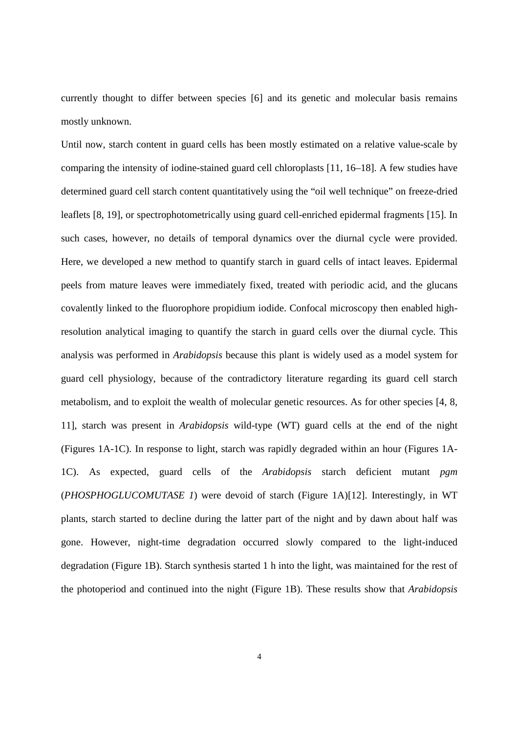currently thought to differ between species [6] and its genetic and molecular basis remains mostly unknown.

Until now, starch content in guard cells has been mostly estimated on a relative value-scale by comparing the intensity of iodine-stained guard cell chloroplasts [11, 16–18]. A few studies have determined guard cell starch content quantitatively using the "oil well technique" on freeze-dried leaflets [8, 19], or spectrophotometrically using guard cell-enriched epidermal fragments [15]. In such cases, however, no details of temporal dynamics over the diurnal cycle were provided. Here, we developed a new method to quantify starch in guard cells of intact leaves. Epidermal peels from mature leaves were immediately fixed, treated with periodic acid, and the glucans covalently linked to the fluorophore propidium iodide. Confocal microscopy then enabled highresolution analytical imaging to quantify the starch in guard cells over the diurnal cycle. This analysis was performed in *Arabidopsis* because this plant is widely used as a model system for guard cell physiology, because of the contradictory literature regarding its guard cell starch metabolism, and to exploit the wealth of molecular genetic resources. As for other species [4, 8, 11], starch was present in *Arabidopsis* wild-type (WT) guard cells at the end of the night (Figures 1A-1C). In response to light, starch was rapidly degraded within an hour (Figures 1A-1C). As expected, guard cells of the *Arabidopsis* starch deficient mutant *pgm* (*PHOSPHOGLUCOMUTASE 1*) were devoid of starch (Figure 1A)[12]. Interestingly, in WT plants, starch started to decline during the latter part of the night and by dawn about half was gone. However, night-time degradation occurred slowly compared to the light-induced degradation (Figure 1B). Starch synthesis started 1 h into the light, was maintained for the rest of the photoperiod and continued into the night (Figure 1B). These results show that *Arabidopsis*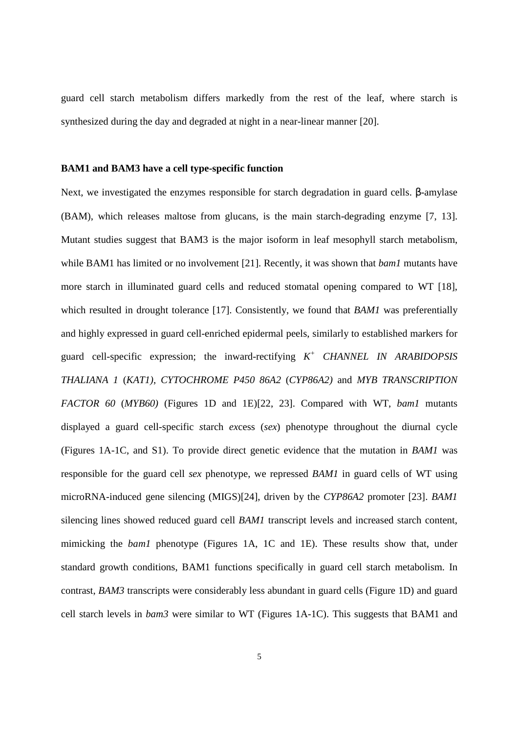guard cell starch metabolism differs markedly from the rest of the leaf, where starch is synthesized during the day and degraded at night in a near-linear manner [20].

#### **BAM1 and BAM3 have a cell type-specific function**

Next, we investigated the enzymes responsible for starch degradation in guard cells. β-amylase (BAM), which releases maltose from glucans, is the main starch-degrading enzyme [7, 13]. Mutant studies suggest that BAM3 is the major isoform in leaf mesophyll starch metabolism, while BAM1 has limited or no involvement [21]. Recently, it was shown that *bam1* mutants have more starch in illuminated guard cells and reduced stomatal opening compared to WT [18], which resulted in drought tolerance [17]. Consistently, we found that *BAM1* was preferentially and highly expressed in guard cell-enriched epidermal peels, similarly to established markers for guard cell-specific expression; the inward-rectifying *K + CHANNEL IN ARABIDOPSIS THALIANA 1* (*KAT1)*, *CYTOCHROME P450 86A2* (*CYP86A2)* and *MYB TRANSCRIPTION FACTOR 60* (*MYB60)* (Figures 1D and 1E)[22, 23]. Compared with WT, *bam1* mutants displayed a guard cell-specific *s*tarch *ex*cess (*sex*) phenotype throughout the diurnal cycle (Figures 1A-1C, and S1). To provide direct genetic evidence that the mutation in *BAM1* was responsible for the guard cell *sex* phenotype, we repressed *BAM1* in guard cells of WT using microRNA-induced gene silencing (MIGS)[24], driven by the *CYP86A2* promoter [23]. *BAM1* silencing lines showed reduced guard cell *BAM1* transcript levels and increased starch content, mimicking the *bam1* phenotype (Figures 1A, 1C and 1E). These results show that, under standard growth conditions, BAM1 functions specifically in guard cell starch metabolism. In contrast, *BAM3* transcripts were considerably less abundant in guard cells (Figure 1D) and guard cell starch levels in *bam3* were similar to WT (Figures 1A-1C). This suggests that BAM1 and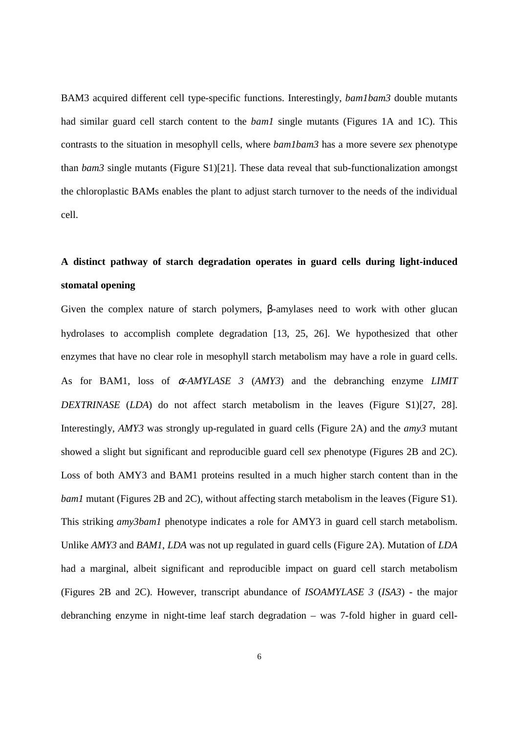BAM3 acquired different cell type-specific functions. Interestingly, *bam1bam3* double mutants had similar guard cell starch content to the *bam1* single mutants (Figures 1A and 1C). This contrasts to the situation in mesophyll cells, where *bam1bam3* has a more severe *sex* phenotype than *bam3* single mutants (Figure S1)[21]. These data reveal that sub-functionalization amongst the chloroplastic BAMs enables the plant to adjust starch turnover to the needs of the individual cell.

# **A distinct pathway of starch degradation operates in guard cells during light-induced stomatal opening**

Given the complex nature of starch polymers, β-amylases need to work with other glucan hydrolases to accomplish complete degradation [13, 25, 26]. We hypothesized that other enzymes that have no clear role in mesophyll starch metabolism may have a role in guard cells. As for BAM1, loss of α*-AMYLASE 3* (*AMY3*) and the debranching enzyme *LIMIT DEXTRINASE* (*LDA*) do not affect starch metabolism in the leaves (Figure S1)[27, 28]. Interestingly, *AMY3* was strongly up-regulated in guard cells (Figure 2A) and the *amy3* mutant showed a slight but significant and reproducible guard cell *sex* phenotype (Figures 2B and 2C). Loss of both AMY3 and BAM1 proteins resulted in a much higher starch content than in the *bam1* mutant (Figures 2B and 2C), without affecting starch metabolism in the leaves (Figure S1). This striking *amy3bam1* phenotype indicates a role for AMY3 in guard cell starch metabolism. Unlike *AMY3* and *BAM1*, *LDA* was not up regulated in guard cells (Figure 2A). Mutation of *LDA* had a marginal, albeit significant and reproducible impact on guard cell starch metabolism (Figures 2B and 2C). However, transcript abundance of *ISOAMYLASE 3* (*ISA3*) - the major debranching enzyme in night-time leaf starch degradation – was 7-fold higher in guard cell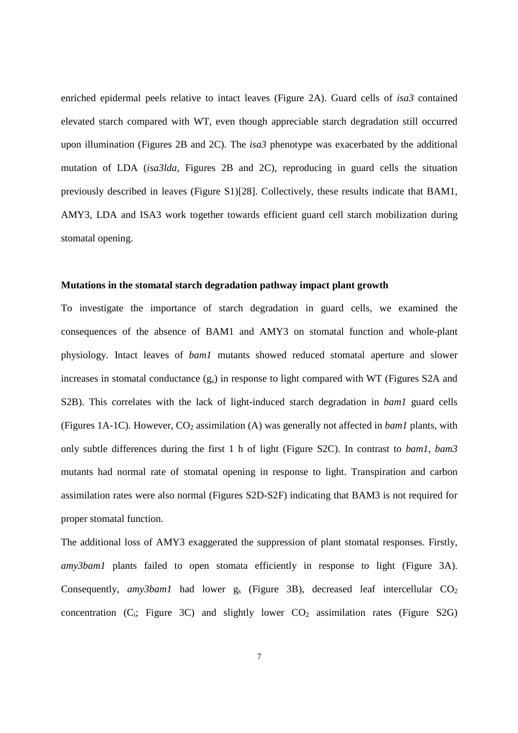enriched epidermal peels relative to intact leaves (Figure 2A). Guard cells of *isa3* contained elevated starch compared with WT, even though appreciable starch degradation still occurred upon illumination (Figures 2B and 2C). The *isa3* phenotype was exacerbated by the additional mutation of LDA (*isa3lda*, Figures 2B and 2C), reproducing in guard cells the situation previously described in leaves (Figure S1)[28]. Collectively, these results indicate that BAM1, AMY3, LDA and ISA3 work together towards efficient guard cell starch mobilization during stomatal opening.

### **Mutations in the stomatal starch degradation pathway impact plant growth**

To investigate the importance of starch degradation in guard cells, we examined the consequences of the absence of BAM1 and AMY3 on stomatal function and whole-plant physiology. Intact leaves of *bam1* mutants showed reduced stomatal aperture and slower increases in stomatal conductance  $(g_s)$  in response to light compared with WT (Figures S2A and S2B). This correlates with the lack of light-induced starch degradation in *bam1* guard cells (Figures 1A-1C). However,  $CO_2$  assimilation (A) was generally not affected in *bam1* plants, with only subtle differences during the first 1 h of light (Figure S2C). In contrast to *bam1*, *bam3* mutants had normal rate of stomatal opening in response to light. Transpiration and carbon assimilation rates were also normal (Figures S2D-S2F) indicating that BAM3 is not required for proper stomatal function.

The additional loss of AMY3 exaggerated the suppression of plant stomatal responses. Firstly, *amy3bam1* plants failed to open stomata efficiently in response to light (Figure 3A). Consequently,  $amy3bam1$  had lower  $g_s$  (Figure 3B), decreased leaf intercellular  $CO_2$ concentration  $(C_i;$  Figure 3C) and slightly lower  $CO_2$  assimilation rates (Figure S2G)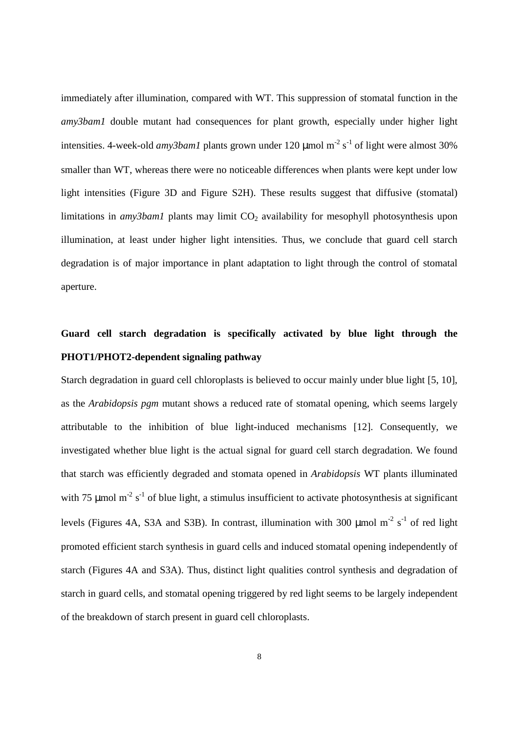immediately after illumination, compared with WT. This suppression of stomatal function in the *amy3bam1* double mutant had consequences for plant growth, especially under higher light intensities. 4-week-old *amy3bam1* plants grown under 120  $\mu$ mol m<sup>-2</sup> s<sup>-1</sup> of light were almost 30% smaller than WT, whereas there were no noticeable differences when plants were kept under low light intensities (Figure 3D and Figure S2H). These results suggest that diffusive (stomatal) limitations in *amy3bam1* plants may limit CO<sub>2</sub> availability for mesophyll photosynthesis upon illumination, at least under higher light intensities. Thus, we conclude that guard cell starch degradation is of major importance in plant adaptation to light through the control of stomatal aperture.

# **Guard cell starch degradation is specifically activated by blue light through the PHOT1/PHOT2-dependent signaling pathway**

Starch degradation in guard cell chloroplasts is believed to occur mainly under blue light [5, 10], as the *Arabidopsis pgm* mutant shows a reduced rate of stomatal opening, which seems largely attributable to the inhibition of blue light-induced mechanisms [12]. Consequently, we investigated whether blue light is the actual signal for guard cell starch degradation. We found that starch was efficiently degraded and stomata opened in *Arabidopsis* WT plants illuminated with 75  $\mu$ mol m<sup>-2</sup> s<sup>-1</sup> of blue light, a stimulus insufficient to activate photosynthesis at significant levels (Figures 4A, S3A and S3B). In contrast, illumination with 300  $\mu$ mol m<sup>-2</sup> s<sup>-1</sup> of red light promoted efficient starch synthesis in guard cells and induced stomatal opening independently of starch (Figures 4A and S3A). Thus, distinct light qualities control synthesis and degradation of starch in guard cells, and stomatal opening triggered by red light seems to be largely independent of the breakdown of starch present in guard cell chloroplasts.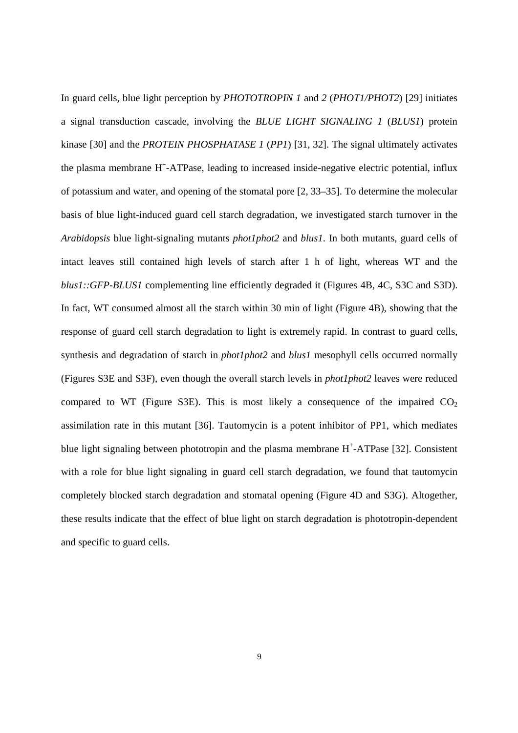In guard cells, blue light perception by *PHOTOTROPIN 1* and *2* (*PHOT1/PHOT2*) [29] initiates a signal transduction cascade, involving the *BLUE LIGHT SIGNALING 1* (*BLUS1*) protein kinase [30] and the *PROTEIN PHOSPHATASE 1* (*PP1*) [31, 32]. The signal ultimately activates the plasma membrane H<sup>+</sup>-ATPase, leading to increased inside-negative electric potential, influx of potassium and water, and opening of the stomatal pore [2, 33–35]. To determine the molecular basis of blue light-induced guard cell starch degradation, we investigated starch turnover in the *Arabidopsis* blue light-signaling mutants *phot1phot2* and *blus1*. In both mutants, guard cells of intact leaves still contained high levels of starch after 1 h of light, whereas WT and the *blus1::GFP-BLUS1* complementing line efficiently degraded it (Figures 4B, 4C, S3C and S3D). In fact, WT consumed almost all the starch within 30 min of light (Figure 4B), showing that the response of guard cell starch degradation to light is extremely rapid. In contrast to guard cells, synthesis and degradation of starch in *phot1phot2* and *blus1* mesophyll cells occurred normally (Figures S3E and S3F), even though the overall starch levels in *phot1phot2* leaves were reduced compared to WT (Figure S3E). This is most likely a consequence of the impaired  $CO<sub>2</sub>$ assimilation rate in this mutant [36]. Tautomycin is a potent inhibitor of PP1, which mediates blue light signaling between phototropin and the plasma membrane  $H^+$ -ATPase [32]. Consistent with a role for blue light signaling in guard cell starch degradation, we found that tautomycin completely blocked starch degradation and stomatal opening (Figure 4D and S3G). Altogether, these results indicate that the effect of blue light on starch degradation is phototropin-dependent and specific to guard cells.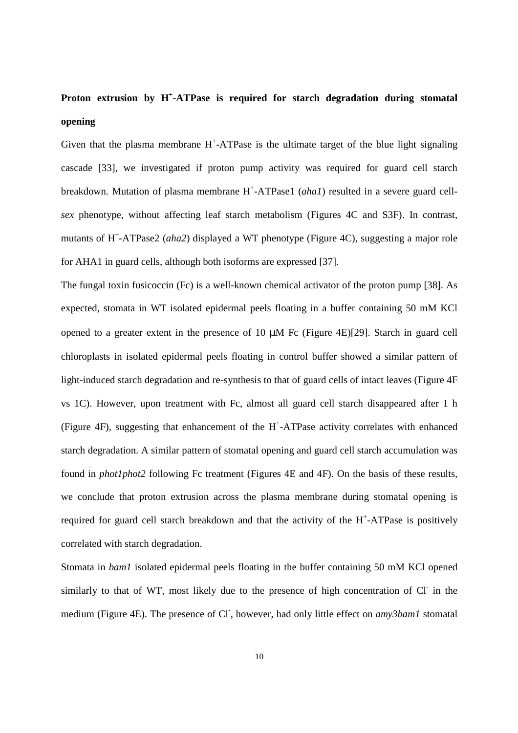# **Proton extrusion by H<sup>+</sup> -ATPase is required for starch degradation during stomatal opening**

Given that the plasma membrane  $H^+$ -ATPase is the ultimate target of the blue light signaling cascade [33], we investigated if proton pump activity was required for guard cell starch breakdown. Mutation of plasma membrane H<sup>+</sup>-ATPase1 (*aha1*) resulted in a severe guard cell*sex* phenotype, without affecting leaf starch metabolism (Figures 4C and S3F). In contrast, mutants of H<sup>+</sup>-ATPase2 (aha2) displayed a WT phenotype (Figure 4C), suggesting a major role for AHA1 in guard cells, although both isoforms are expressed [37].

The fungal toxin fusicoccin (Fc) is a well-known chemical activator of the proton pump [38]. As expected, stomata in WT isolated epidermal peels floating in a buffer containing 50 mM KCl opened to a greater extent in the presence of 10  $\mu$ M Fc (Figure 4E)[29]. Starch in guard cell chloroplasts in isolated epidermal peels floating in control buffer showed a similar pattern of light-induced starch degradation and re-synthesis to that of guard cells of intact leaves (Figure 4F vs 1C). However, upon treatment with Fc, almost all guard cell starch disappeared after 1 h (Figure 4F), suggesting that enhancement of the H<sup>+</sup>-ATPase activity correlates with enhanced starch degradation. A similar pattern of stomatal opening and guard cell starch accumulation was found in *phot1phot2* following Fc treatment (Figures 4E and 4F). On the basis of these results, we conclude that proton extrusion across the plasma membrane during stomatal opening is required for guard cell starch breakdown and that the activity of the H<sup>+</sup>-ATPase is positively correlated with starch degradation.

Stomata in *bam1* isolated epidermal peels floating in the buffer containing 50 mM KCl opened similarly to that of WT, most likely due to the presence of high concentration of Cl in the medium (Figure 4E). The presence of Cl<sup>-</sup>, however, had only little effect on *amy3bam1* stomatal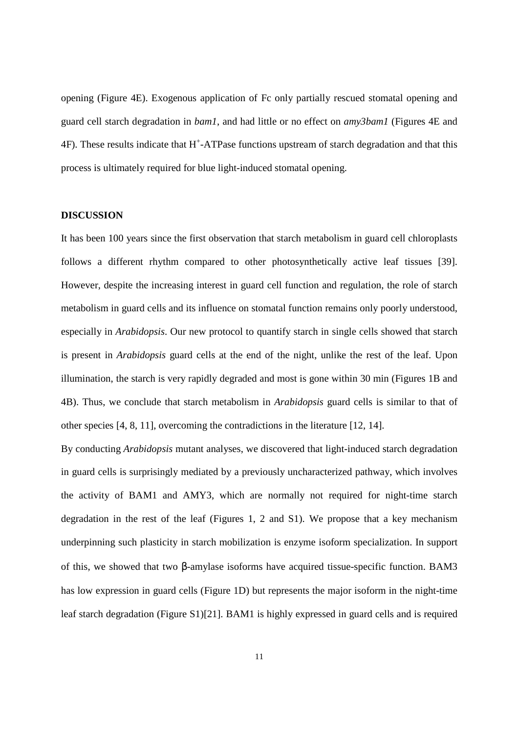opening (Figure 4E). Exogenous application of Fc only partially rescued stomatal opening and guard cell starch degradation in *bam1*, and had little or no effect on *amy3bam1* (Figures 4E and  $4F$ ). These results indicate that H<sup>+</sup>-ATPase functions upstream of starch degradation and that this process is ultimately required for blue light-induced stomatal opening.

### **DISCUSSION**

It has been 100 years since the first observation that starch metabolism in guard cell chloroplasts follows a different rhythm compared to other photosynthetically active leaf tissues [39]. However, despite the increasing interest in guard cell function and regulation, the role of starch metabolism in guard cells and its influence on stomatal function remains only poorly understood, especially in *Arabidopsis*. Our new protocol to quantify starch in single cells showed that starch is present in *Arabidopsis* guard cells at the end of the night, unlike the rest of the leaf. Upon illumination, the starch is very rapidly degraded and most is gone within 30 min (Figures 1B and 4B). Thus, we conclude that starch metabolism in *Arabidopsis* guard cells is similar to that of other species [4, 8, 11], overcoming the contradictions in the literature [12, 14].

By conducting *Arabidopsis* mutant analyses, we discovered that light-induced starch degradation in guard cells is surprisingly mediated by a previously uncharacterized pathway, which involves the activity of BAM1 and AMY3, which are normally not required for night-time starch degradation in the rest of the leaf (Figures 1, 2 and S1). We propose that a key mechanism underpinning such plasticity in starch mobilization is enzyme isoform specialization. In support of this, we showed that two β-amylase isoforms have acquired tissue-specific function. BAM3 has low expression in guard cells (Figure 1D) but represents the major isoform in the night-time leaf starch degradation (Figure S1)[21]. BAM1 is highly expressed in guard cells and is required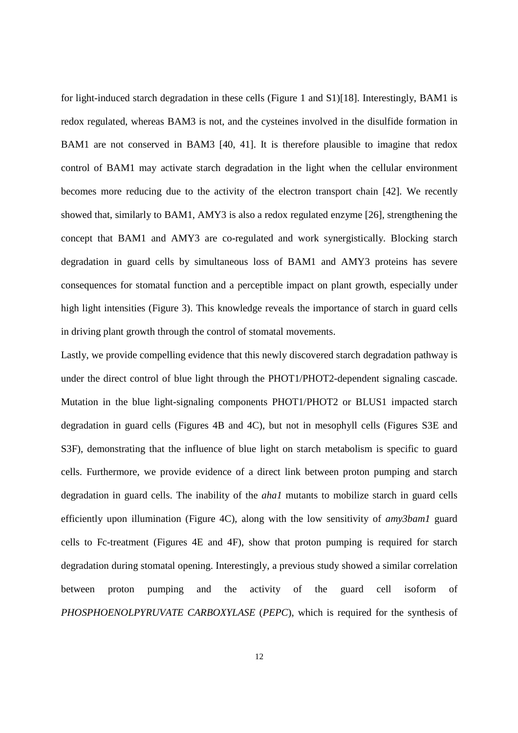for light-induced starch degradation in these cells (Figure 1 and S1)[18]. Interestingly, BAM1 is redox regulated, whereas BAM3 is not, and the cysteines involved in the disulfide formation in BAM1 are not conserved in BAM3 [40, 41]. It is therefore plausible to imagine that redox control of BAM1 may activate starch degradation in the light when the cellular environment becomes more reducing due to the activity of the electron transport chain [42]. We recently showed that, similarly to BAM1, AMY3 is also a redox regulated enzyme [26], strengthening the concept that BAM1 and AMY3 are co-regulated and work synergistically. Blocking starch degradation in guard cells by simultaneous loss of BAM1 and AMY3 proteins has severe consequences for stomatal function and a perceptible impact on plant growth, especially under high light intensities (Figure 3). This knowledge reveals the importance of starch in guard cells in driving plant growth through the control of stomatal movements.

Lastly, we provide compelling evidence that this newly discovered starch degradation pathway is under the direct control of blue light through the PHOT1/PHOT2-dependent signaling cascade. Mutation in the blue light-signaling components PHOT1/PHOT2 or BLUS1 impacted starch degradation in guard cells (Figures 4B and 4C), but not in mesophyll cells (Figures S3E and S3F), demonstrating that the influence of blue light on starch metabolism is specific to guard cells. Furthermore, we provide evidence of a direct link between proton pumping and starch degradation in guard cells. The inability of the *aha1* mutants to mobilize starch in guard cells efficiently upon illumination (Figure 4C), along with the low sensitivity of *amy3bam1* guard cells to Fc-treatment (Figures 4E and 4F), show that proton pumping is required for starch degradation during stomatal opening. Interestingly, a previous study showed a similar correlation between proton pumping and the activity of the guard cell isoform of *PHOSPHOENOLPYRUVATE CARBOXYLASE* (*PEPC*), which is required for the synthesis of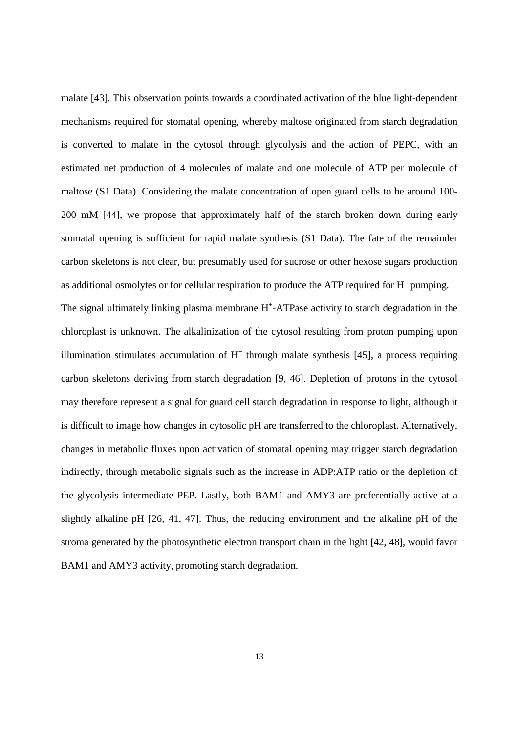malate [43]. This observation points towards a coordinated activation of the blue light-dependent mechanisms required for stomatal opening, whereby maltose originated from starch degradation is converted to malate in the cytosol through glycolysis and the action of PEPC, with an estimated net production of 4 molecules of malate and one molecule of ATP per molecule of maltose (S1 Data). Considering the malate concentration of open guard cells to be around 100- 200 mM [44], we propose that approximately half of the starch broken down during early stomatal opening is sufficient for rapid malate synthesis (S1 Data). The fate of the remainder carbon skeletons is not clear, but presumably used for sucrose or other hexose sugars production as additional osmolytes or for cellular respiration to produce the ATP required for  $H^+$  pumping.

The signal ultimately linking plasma membrane  $H^+$ -ATPase activity to starch degradation in the chloroplast is unknown. The alkalinization of the cytosol resulting from proton pumping upon illumination stimulates accumulation of  $H^+$  through malate synthesis [45], a process requiring carbon skeletons deriving from starch degradation [9, 46]. Depletion of protons in the cytosol may therefore represent a signal for guard cell starch degradation in response to light, although it is difficult to image how changes in cytosolic pH are transferred to the chloroplast. Alternatively, changes in metabolic fluxes upon activation of stomatal opening may trigger starch degradation indirectly, through metabolic signals such as the increase in ADP:ATP ratio or the depletion of the glycolysis intermediate PEP. Lastly, both BAM1 and AMY3 are preferentially active at a slightly alkaline pH [26, 41, 47]. Thus, the reducing environment and the alkaline pH of the stroma generated by the photosynthetic electron transport chain in the light [42, 48], would favor BAM1 and AMY3 activity, promoting starch degradation.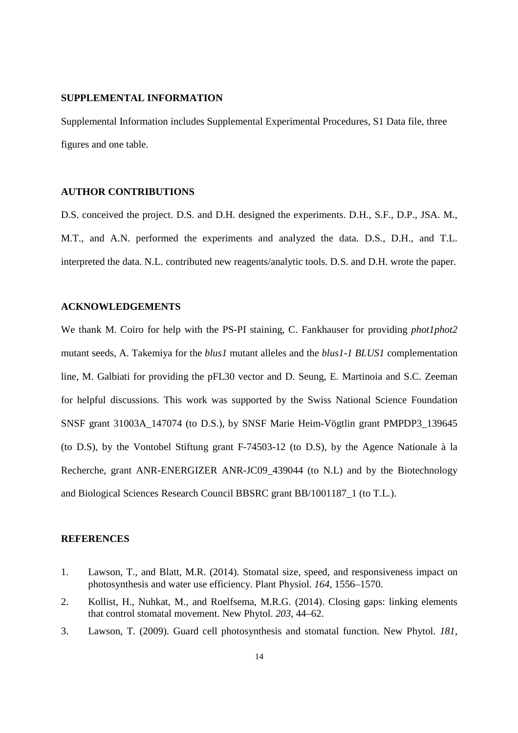### **SUPPLEMENTAL INFORMATION**

Supplemental Information includes Supplemental Experimental Procedures, S1 Data file, three figures and one table.

## **AUTHOR CONTRIBUTIONS**

D.S. conceived the project. D.S. and D.H. designed the experiments. D.H., S.F., D.P., JSA. M., M.T., and A.N. performed the experiments and analyzed the data. D.S., D.H., and T.L. interpreted the data. N.L. contributed new reagents/analytic tools. D.S. and D.H. wrote the paper.

#### **ACKNOWLEDGEMENTS**

We thank M. Coiro for help with the PS-PI staining, C. Fankhauser for providing *phot1phot2* mutant seeds, A. Takemiya for the *blus1* mutant alleles and the *blus1-1 BLUS1* complementation line, M. Galbiati for providing the pFL30 vector and D. Seung, E. Martinoia and S.C. Zeeman for helpful discussions. This work was supported by the Swiss National Science Foundation SNSF grant 31003A\_147074 (to D.S.), by SNSF Marie Heim-Vögtlin grant PMPDP3\_139645 (to D.S), by the Vontobel Stiftung grant F-74503-12 (to D.S), by the Agence Nationale à la Recherche, grant ANR-ENERGIZER ANR-JC09\_439044 (to N.L) and by the Biotechnology and Biological Sciences Research Council BBSRC grant BB/1001187\_1 (to T.L.).

### **REFERENCES**

- 1. Lawson, T., and Blatt, M.R. (2014). Stomatal size, speed, and responsiveness impact on photosynthesis and water use efficiency. Plant Physiol. *164*, 1556–1570.
- 2. Kollist, H., Nuhkat, M., and Roelfsema, M.R.G. (2014). Closing gaps: linking elements that control stomatal movement. New Phytol. *203*, 44–62.
- 3. Lawson, T. (2009). Guard cell photosynthesis and stomatal function. New Phytol. *181*,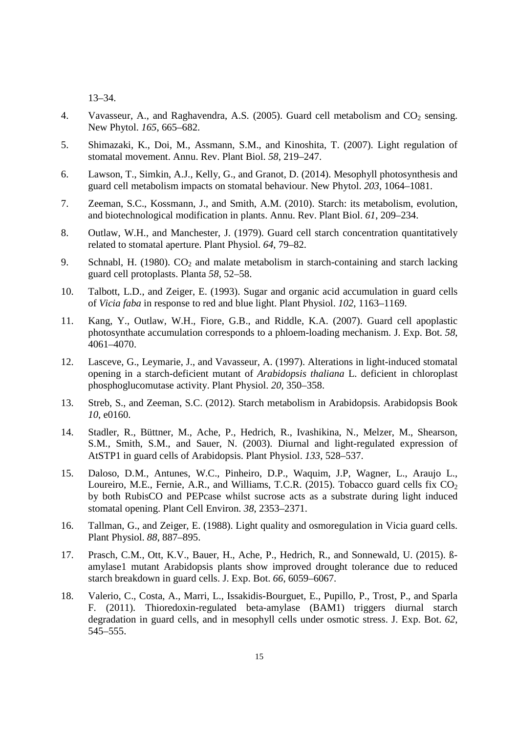13–34.

- 4. Vavasseur, A., and Raghavendra, A.S. (2005). Guard cell metabolism and  $CO_2$  sensing. New Phytol. *165*, 665–682.
- 5. Shimazaki, K., Doi, M., Assmann, S.M., and Kinoshita, T. (2007). Light regulation of stomatal movement. Annu. Rev. Plant Biol. *58*, 219–247.
- 6. Lawson, T., Simkin, A.J., Kelly, G., and Granot, D. (2014). Mesophyll photosynthesis and guard cell metabolism impacts on stomatal behaviour. New Phytol. *203*, 1064–1081.
- 7. Zeeman, S.C., Kossmann, J., and Smith, A.M. (2010). Starch: its metabolism, evolution, and biotechnological modification in plants. Annu. Rev. Plant Biol. *61*, 209–234.
- 8. Outlaw, W.H., and Manchester, J. (1979). Guard cell starch concentration quantitatively related to stomatal aperture. Plant Physiol. *64*, 79–82.
- 9. Schnabl, H. (1980).  $CO<sub>2</sub>$  and malate metabolism in starch-containing and starch lacking guard cell protoplasts. Planta *58*, 52–58.
- 10. Talbott, L.D., and Zeiger, E. (1993). Sugar and organic acid accumulation in guard cells of *Vicia faba* in response to red and blue light. Plant Physiol. *102*, 1163–1169.
- 11. Kang, Y., Outlaw, W.H., Fiore, G.B., and Riddle, K.A. (2007). Guard cell apoplastic photosynthate accumulation corresponds to a phloem-loading mechanism. J. Exp. Bot. *58*, 4061–4070.
- 12. Lasceve, G., Leymarie, J., and Vavasseur, A. (1997). Alterations in light-induced stomatal opening in a starch-deficient mutant of *Arabidopsis thaliana* L. deficient in chloroplast phosphoglucomutase activity. Plant Physiol. *20*, 350–358.
- 13. Streb, S., and Zeeman, S.C. (2012). Starch metabolism in Arabidopsis. Arabidopsis Book *10*, e0160.
- 14. Stadler, R., Büttner, M., Ache, P., Hedrich, R., Ivashikina, N., Melzer, M., Shearson, S.M., Smith, S.M., and Sauer, N. (2003). Diurnal and light-regulated expression of AtSTP1 in guard cells of Arabidopsis. Plant Physiol. *133*, 528–537.
- 15. Daloso, D.M., Antunes, W.C., Pinheiro, D.P., Waquim, J.P, Wagner, L., Araujo L., Loureiro, M.E., Fernie, A.R., and Williams, T.C.R. (2015). Tobacco guard cells fix  $CO<sub>2</sub>$ by both RubisCO and PEPcase whilst sucrose acts as a substrate during light induced stomatal opening. Plant Cell Environ. *38*, 2353–2371.
- 16. Tallman, G., and Zeiger, E. (1988). Light quality and osmoregulation in Vicia guard cells. Plant Physiol. *88*, 887–895.
- 17. Prasch, C.M., Ott, K.V., Bauer, H., Ache, P., Hedrich, R., and Sonnewald, U. (2015). ßamylase1 mutant Arabidopsis plants show improved drought tolerance due to reduced starch breakdown in guard cells. J. Exp. Bot. *66*, 6059–6067.
- 18. Valerio, C., Costa, A., Marri, L., Issakidis-Bourguet, E., Pupillo, P., Trost, P., and Sparla F. (2011). Thioredoxin-regulated beta-amylase (BAM1) triggers diurnal starch degradation in guard cells, and in mesophyll cells under osmotic stress. J. Exp. Bot. *62*, 545–555.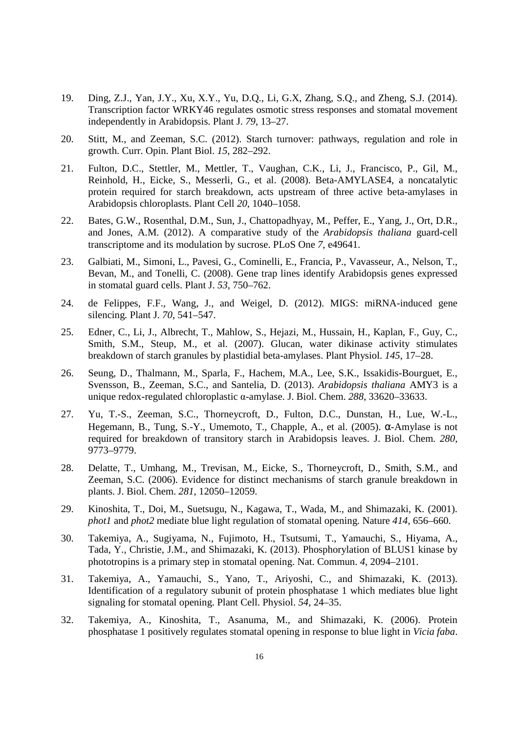- 19. Ding, Z.J., Yan, J.Y., Xu, X.Y., Yu, D.Q., Li, G.X, Zhang, S.Q., and Zheng, S.J. (2014). Transcription factor WRKY46 regulates osmotic stress responses and stomatal movement independently in Arabidopsis. Plant J. *79*, 13–27.
- 20. Stitt, M., and Zeeman, S.C. (2012). Starch turnover: pathways, regulation and role in growth. Curr. Opin. Plant Biol. *15*, 282–292.
- 21. Fulton, D.C., Stettler, M., Mettler, T., Vaughan, C.K., Li, J., Francisco, P., Gil, M., Reinhold, H., Eicke, S., Messerli, G., et al. (2008). Beta-AMYLASE4, a noncatalytic protein required for starch breakdown, acts upstream of three active beta-amylases in Arabidopsis chloroplasts. Plant Cell *20*, 1040–1058.
- 22. Bates, G.W., Rosenthal, D.M., Sun, J., Chattopadhyay, M., Peffer, E., Yang, J., Ort, D.R., and Jones, A.M. (2012). A comparative study of the *Arabidopsis thaliana* guard-cell transcriptome and its modulation by sucrose. PLoS One *7,* e49641.
- 23. Galbiati, M., Simoni, L., Pavesi, G., Cominelli, E., Francia, P., Vavasseur, A., Nelson, T., Bevan, M., and Tonelli, C. (2008). Gene trap lines identify Arabidopsis genes expressed in stomatal guard cells. Plant J. *53*, 750–762.
- 24. de Felippes, F.F., Wang, J., and Weigel, D. (2012). MIGS: miRNA-induced gene silencing. Plant J. *70*, 541–547.
- 25. Edner, C., Li, J., Albrecht, T., Mahlow, S., Hejazi, M., Hussain, H., Kaplan, F., Guy, C., Smith, S.M., Steup, M., et al. (2007). Glucan, water dikinase activity stimulates breakdown of starch granules by plastidial beta-amylases. Plant Physiol. *145*, 17–28.
- 26. Seung, D., Thalmann, M., Sparla, F., Hachem, M.A., Lee, S.K., Issakidis-Bourguet, E., Svensson, B., Zeeman, S.C., and Santelia, D. (2013). *Arabidopsis thaliana* AMY3 is a unique redox-regulated chloroplastic α-amylase. J. Biol. Chem. *288*, 33620–33633.
- 27. Yu, T.-S., Zeeman, S.C., Thorneycroft, D., Fulton, D.C., Dunstan, H., Lue, W.-L., Hegemann, B., Tung, S.-Y., Umemoto, T., Chapple, A., et al. (2005).  $\alpha$ -Amylase is not required for breakdown of transitory starch in Arabidopsis leaves. J. Biol. Chem. *280*, 9773–9779.
- 28. Delatte, T., Umhang, M., Trevisan, M., Eicke, S., Thorneycroft, D., Smith, S.M., and Zeeman, S.C. (2006). Evidence for distinct mechanisms of starch granule breakdown in plants. J. Biol. Chem. *281*, 12050–12059.
- 29. Kinoshita, T., Doi, M., Suetsugu, N., Kagawa, T., Wada, M., and Shimazaki, K. (2001). *phot1* and *phot2* mediate blue light regulation of stomatal opening. Nature *414*, 656–660.
- 30. Takemiya, A., Sugiyama, N., Fujimoto, H., Tsutsumi, T., Yamauchi, S., Hiyama, A., Tada, Y., Christie, J.M., and Shimazaki, K. (2013). Phosphorylation of BLUS1 kinase by phototropins is a primary step in stomatal opening. Nat. Commun. *4*, 2094–2101.
- 31. Takemiya, A., Yamauchi, S., Yano, T., Ariyoshi, C., and Shimazaki, K. (2013). Identification of a regulatory subunit of protein phosphatase 1 which mediates blue light signaling for stomatal opening. Plant Cell. Physiol. *54*, 24–35.
- 32. Takemiya, A., Kinoshita, T., Asanuma, M., and Shimazaki, K. (2006). Protein phosphatase 1 positively regulates stomatal opening in response to blue light in *Vicia faba*.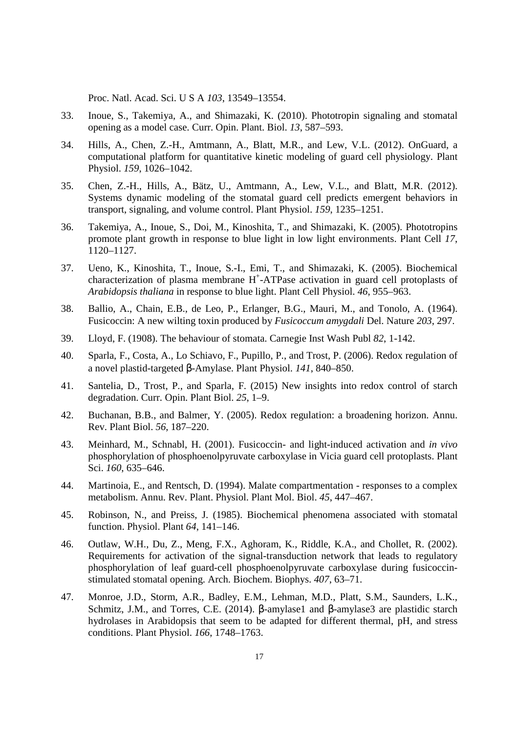Proc. Natl. Acad. Sci. U S A *103*, 13549–13554.

- 33. Inoue, S., Takemiya, A., and Shimazaki, K. (2010). Phototropin signaling and stomatal opening as a model case. Curr. Opin. Plant. Biol. *13*, 587–593.
- 34. Hills, A., Chen, Z.-H., Amtmann, A., Blatt, M.R., and Lew, V.L. (2012). OnGuard, a computational platform for quantitative kinetic modeling of guard cell physiology. Plant Physiol. *159*, 1026–1042.
- 35. Chen, Z.-H., Hills, A., Bätz, U., Amtmann, A., Lew, V.L., and Blatt, M.R. (2012). Systems dynamic modeling of the stomatal guard cell predicts emergent behaviors in transport, signaling, and volume control. Plant Physiol. *159*, 1235–1251.
- 36. Takemiya, A., Inoue, S., Doi, M., Kinoshita, T., and Shimazaki, K. (2005). Phototropins promote plant growth in response to blue light in low light environments. Plant Cell *17*, 1120–1127.
- 37. Ueno, K., Kinoshita, T., Inoue, S.-I., Emi, T., and Shimazaki, K. (2005). Biochemical characterization of plasma membrane H<sup>+</sup>-ATPase activation in guard cell protoplasts of *Arabidopsis thaliana* in response to blue light. Plant Cell Physiol. *46*, 955–963.
- 38. Ballio, A., Chain, E.B., de Leo, P., Erlanger, B.G., Mauri, M., and Tonolo, A. (1964). Fusicoccin: A new wilting toxin produced by *Fusicoccum amygdali* Del. Nature *203*, 297.
- 39. Lloyd, F. (1908). The behaviour of stomata. Carnegie Inst Wash Publ *82*, 1-142.
- 40. Sparla, F., Costa, A., Lo Schiavo, F., Pupillo, P., and Trost, P. (2006). Redox regulation of a novel plastid-targeted β-Amylase. Plant Physiol. *141*, 840–850.
- 41. Santelia, D., Trost, P., and Sparla, F. (2015) New insights into redox control of starch degradation. Curr. Opin. Plant Biol. *25*, 1–9.
- 42. Buchanan, B.B., and Balmer, Y. (2005). Redox regulation: a broadening horizon. Annu. Rev. Plant Biol. *56*, 187–220.
- 43. Meinhard, M., Schnabl, H. (2001). Fusicoccin- and light-induced activation and *in vivo* phosphorylation of phosphoenolpyruvate carboxylase in Vicia guard cell protoplasts. Plant Sci. *160*, 635–646.
- 44. Martinoia, E., and Rentsch, D. (1994). Malate compartmentation responses to a complex metabolism. Annu. Rev. Plant. Physiol. Plant Mol. Biol. *45*, 447–467.
- 45. Robinson, N., and Preiss, J. (1985). Biochemical phenomena associated with stomatal function. Physiol. Plant *64*, 141–146.
- 46. Outlaw, W.H., Du, Z., Meng, F.X., Aghoram, K., Riddle, K.A., and Chollet, R. (2002). Requirements for activation of the signal-transduction network that leads to regulatory phosphorylation of leaf guard-cell phosphoenolpyruvate carboxylase during fusicoccinstimulated stomatal opening. Arch. Biochem. Biophys. *407*, 63–71.
- 47. Monroe, J.D., Storm, A.R., Badley, E.M., Lehman, M.D., Platt, S.M., Saunders, L.K., Schmitz, J.M., and Torres, C.E. (2014). β-amylase1 and β-amylase3 are plastidic starch hydrolases in Arabidopsis that seem to be adapted for different thermal, pH, and stress conditions. Plant Physiol. *166*, 1748–1763.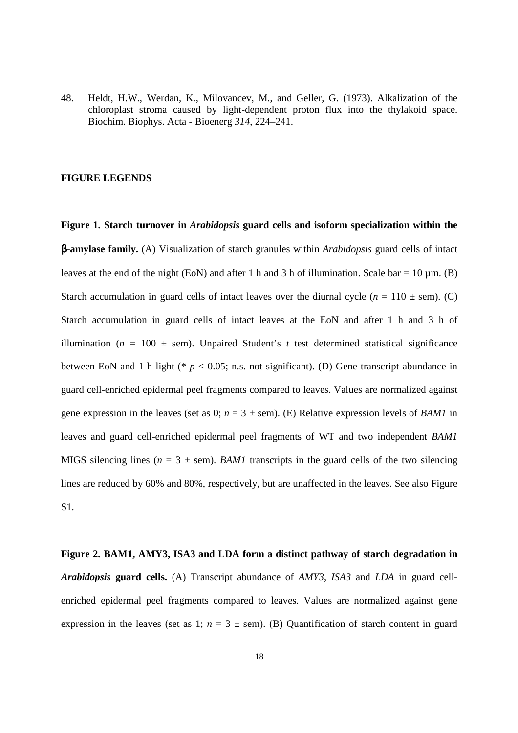48. Heldt, H.W., Werdan, K., Milovancev, M., and Geller, G. (1973). Alkalization of the chloroplast stroma caused by light-dependent proton flux into the thylakoid space. Biochim. Biophys. Acta - Bioenerg *314*, 224–241.

#### **FIGURE LEGENDS**

**Figure 1. Starch turnover in** *Arabidopsis* **guard cells and isoform specialization within the**  β**-amylase family.** (A) Visualization of starch granules within *Arabidopsis* guard cells of intact leaves at the end of the night (EoN) and after 1 h and 3 h of illumination. Scale bar = 10 um. (B) Starch accumulation in guard cells of intact leaves over the diurnal cycle  $(n = 110 \pm \text{sem})$ . (C) Starch accumulation in guard cells of intact leaves at the EoN and after 1 h and 3 h of illumination ( $n = 100 \pm$  sem). Unpaired Student's t test determined statistical significance between EoN and 1 h light ( $p < 0.05$ ; n.s. not significant). (D) Gene transcript abundance in guard cell-enriched epidermal peel fragments compared to leaves. Values are normalized against gene expression in the leaves (set as 0;  $n = 3 \pm$  sem). (E) Relative expression levels of *BAM1* in leaves and guard cell-enriched epidermal peel fragments of WT and two independent *BAM1* MIGS silencing lines ( $n = 3 \pm$  sem). *BAM1* transcripts in the guard cells of the two silencing lines are reduced by 60% and 80%, respectively, but are unaffected in the leaves. See also Figure S1.

**Figure 2. BAM1, AMY3, ISA3 and LDA form a distinct pathway of starch degradation in**  *Arabidopsis* **guard cells.** (A) Transcript abundance of *AMY3*, *ISA3* and *LDA* in guard cellenriched epidermal peel fragments compared to leaves. Values are normalized against gene expression in the leaves (set as 1;  $n = 3 \pm$  sem). (B) Quantification of starch content in guard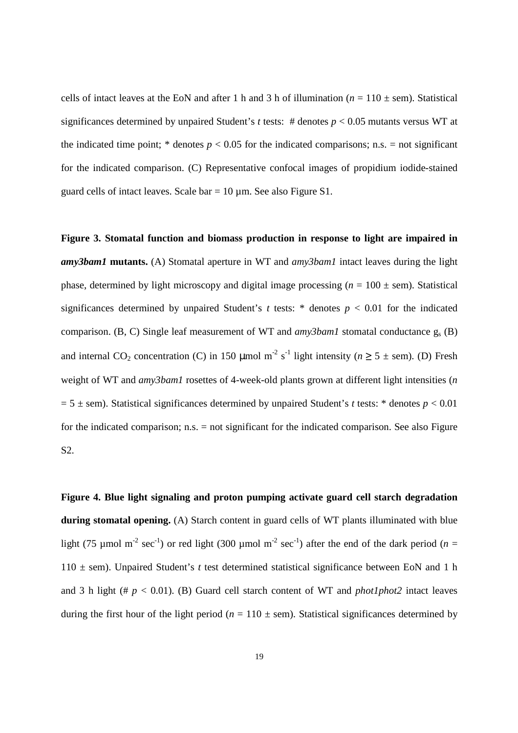cells of intact leaves at the EoN and after 1 h and 3 h of illumination ( $n = 110 \pm$  sem). Statistical significances determined by unpaired Student's *t* tests: # denotes *p* < 0.05 mutants versus WT at the indicated time point;  $*$  denotes  $p < 0.05$  for the indicated comparisons; n.s. = not significant for the indicated comparison. (C) Representative confocal images of propidium iodide-stained guard cells of intact leaves. Scale  $bar = 10 \mu m$ . See also Figure S1.

**Figure 3. Stomatal function and biomass production in response to light are impaired in**  *amy3bam1* **mutants.** (A) Stomatal aperture in WT and *amy3bam1* intact leaves during the light phase, determined by light microscopy and digital image processing  $(n = 100 \pm \text{sem})$ . Statistical significances determined by unpaired Student's  $t$  tests:  $*$  denotes  $p < 0.01$  for the indicated comparison. (B, C) Single leaf measurement of WT and *amy3bam1* stomatal conductance g<sup>s</sup> (B) and internal CO<sub>2</sub> concentration (C) in 150 µmol m<sup>-2</sup> s<sup>-1</sup> light intensity ( $n \ge 5 \pm$  sem). (D) Fresh weight of WT and *amy3bam1* rosettes of 4-week-old plants grown at different light intensities (*n*  $= 5 \pm$  sem). Statistical significances determined by unpaired Student's *t* tests: \* denotes  $p < 0.01$ for the indicated comparison; n.s. = not significant for the indicated comparison. See also Figure S2.

**Figure 4. Blue light signaling and proton pumping activate guard cell starch degradation during stomatal opening.** (A) Starch content in guard cells of WT plants illuminated with blue light (75 µmol m<sup>-2</sup> sec<sup>-1</sup>) or red light (300 µmol m<sup>-2</sup> sec<sup>-1</sup>) after the end of the dark period (*n* = 110 ± sem). Unpaired Student's *t* test determined statistical significance between EoN and 1 h and 3 h light (#  $p < 0.01$ ). (B) Guard cell starch content of WT and *phot1phot2* intact leaves during the first hour of the light period ( $n = 110 \pm$  sem). Statistical significances determined by